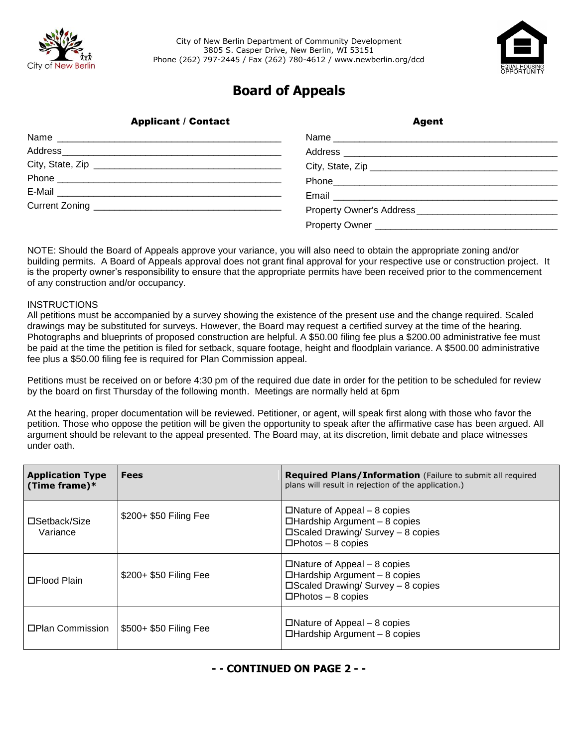



## **Board of Appeals**

|  | <b>Applicant / Contact</b> | <b>Agent</b> |  |
|--|----------------------------|--------------|--|
|  |                            |              |  |
|  |                            |              |  |
|  | City, State, Zip           |              |  |
|  |                            |              |  |
|  |                            |              |  |
|  |                            |              |  |
|  |                            |              |  |
|  |                            |              |  |

NOTE: Should the Board of Appeals approve your variance, you will also need to obtain the appropriate zoning and/or building permits. A Board of Appeals approval does not grant final approval for your respective use or construction project. It is the property owner's responsibility to ensure that the appropriate permits have been received prior to the commencement of any construction and/or occupancy.

## **INSTRUCTIONS**

All petitions must be accompanied by a survey showing the existence of the present use and the change required. Scaled drawings may be substituted for surveys. However, the Board may request a certified survey at the time of the hearing. Photographs and blueprints of proposed construction are helpful. A \$50.00 filing fee plus a \$200.00 administrative fee must be paid at the time the petition is filed for setback, square footage, height and floodplain variance. A \$500.00 administrative fee plus a \$50.00 filing fee is required for Plan Commission appeal.

Petitions must be received on or before 4:30 pm of the required due date in order for the petition to be scheduled for review by the board on first Thursday of the following month. Meetings are normally held at 6pm

At the hearing, proper documentation will be reviewed. Petitioner, or agent, will speak first along with those who favor the petition. Those who oppose the petition will be given the opportunity to speak after the affirmative case has been argued. All argument should be relevant to the appeal presented. The Board may, at its discretion, limit debate and place witnesses under oath.

| <b>Application Type</b><br>(Time frame) $*$ | <b>Fees</b>            | <b>Required Plans/Information</b> (Failure to submit all required<br>plans will result in rejection of the application.)                                |
|---------------------------------------------|------------------------|---------------------------------------------------------------------------------------------------------------------------------------------------------|
| □Setback/Size<br>Variance                   | \$200+ \$50 Filing Fee | $\Box$ Nature of Appeal – 8 copies<br>$\Box$ Hardship Argument - 8 copies<br>$\square$ Scaled Drawing/ Survey - 8 copies<br>$\square$ Photos – 8 copies |
| □Flood Plain                                | \$200+ \$50 Filing Fee | $\Box$ Nature of Appeal – 8 copies<br>$\Box$ Hardship Argument - 8 copies<br>$\square$ Scaled Drawing/ Survey - 8 copies<br>$\square$ Photos – 8 copies |
| □Plan Commission                            | \$500+ \$50 Filing Fee | $\Box$ Nature of Appeal – 8 copies<br>$\Box$ Hardship Argument - 8 copies                                                                               |